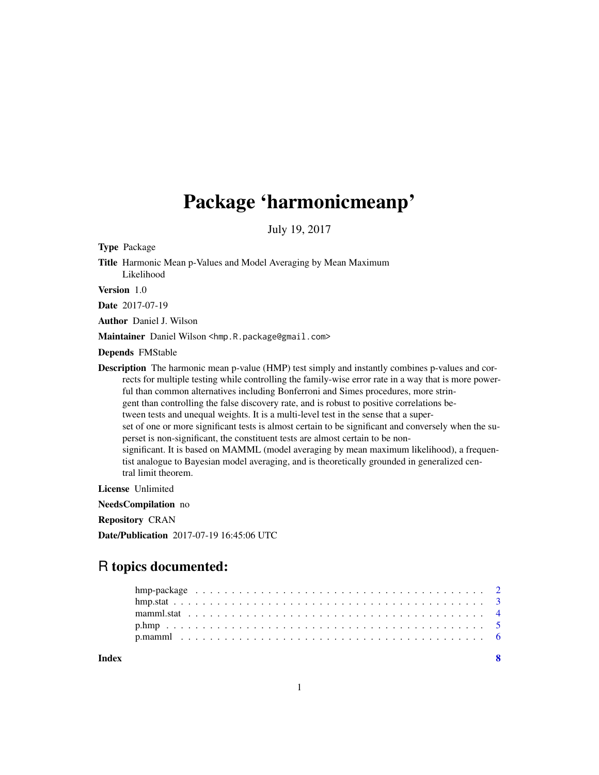# Package 'harmonicmeanp'

July 19, 2017

Type Package

Title Harmonic Mean p-Values and Model Averaging by Mean Maximum Likelihood

Version 1.0

Date 2017-07-19

Author Daniel J. Wilson

Maintainer Daniel Wilson <hmp.R.package@gmail.com>

Depends FMStable

Description The harmonic mean p-value (HMP) test simply and instantly combines p-values and corrects for multiple testing while controlling the family-wise error rate in a way that is more powerful than common alternatives including Bonferroni and Simes procedures, more stringent than controlling the false discovery rate, and is robust to positive correlations between tests and unequal weights. It is a multi-level test in the sense that a superset of one or more significant tests is almost certain to be significant and conversely when the superset is non-significant, the constituent tests are almost certain to be nonsignificant. It is based on MAMML (model averaging by mean maximum likelihood), a frequentist analogue to Bayesian model averaging, and is theoretically grounded in generalized central limit theorem.

License Unlimited

NeedsCompilation no

Repository CRAN

Date/Publication 2017-07-19 16:45:06 UTC

## R topics documented:

**Index** [8](#page-7-0) **8**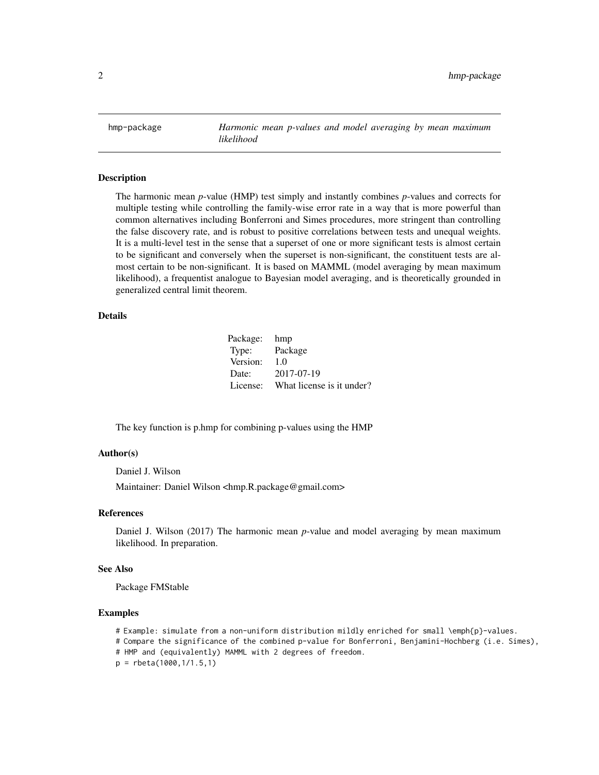<span id="page-1-0"></span>hmp-package *Harmonic mean p-values and model averaging by mean maximum likelihood*

#### Description

The harmonic mean *p*-value (HMP) test simply and instantly combines *p*-values and corrects for multiple testing while controlling the family-wise error rate in a way that is more powerful than common alternatives including Bonferroni and Simes procedures, more stringent than controlling the false discovery rate, and is robust to positive correlations between tests and unequal weights. It is a multi-level test in the sense that a superset of one or more significant tests is almost certain to be significant and conversely when the superset is non-significant, the constituent tests are almost certain to be non-significant. It is based on MAMML (model averaging by mean maximum likelihood), a frequentist analogue to Bayesian model averaging, and is theoretically grounded in generalized central limit theorem.

#### Details

| Package: | hmp                       |
|----------|---------------------------|
| Type:    | Package                   |
| Version: | 1.0                       |
| Date:    | 2017-07-19                |
| License: | What license is it under? |

The key function is p.hmp for combining p-values using the HMP

#### Author(s)

Daniel J. Wilson Maintainer: Daniel Wilson <hmp.R.package@gmail.com>

#### References

Daniel J. Wilson (2017) The harmonic mean *p*-value and model averaging by mean maximum likelihood. In preparation.

#### See Also

Package FMStable

```
# Example: simulate from a non-uniform distribution mildly enriched for small \emph{p}-values.
# Compare the significance of the combined p-value for Bonferroni, Benjamini-Hochberg (i.e. Simes),
# HMP and (equivalently) MAMML with 2 degrees of freedom.
p = rbeta(1000,1/1.5,1)
```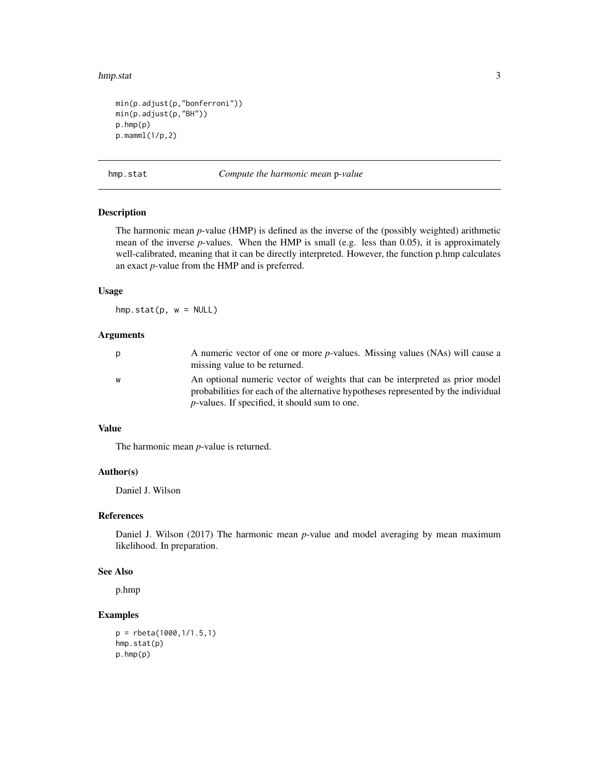#### <span id="page-2-0"></span>hmp.stat 3

```
min(p.adjust(p,"bonferroni"))
min(p.adjust(p,"BH"))
p.hmp(p)
p.mamml(1/p,2)
```
hmp.stat *Compute the harmonic mean* p*-value*

#### Description

The harmonic mean *p*-value (HMP) is defined as the inverse of the (possibly weighted) arithmetic mean of the inverse *p*-values. When the HMP is small (e.g. less than 0.05), it is approximately well-calibrated, meaning that it can be directly interpreted. However, the function p.hmp calculates an exact *p*-value from the HMP and is preferred.

#### Usage

 $hmp.start(p, w = NULL)$ 

#### Arguments

| p | A numeric vector of one or more <i>p</i> -values. Missing values (NAs) will cause a |
|---|-------------------------------------------------------------------------------------|
|   | missing value to be returned.                                                       |
| W | An optional numeric vector of weights that can be interpreted as prior model        |
|   | probabilities for each of the alternative hypotheses represented by the individual  |
|   | $p$ -values. If specified, it should sum to one.                                    |

#### Value

The harmonic mean *p*-value is returned.

#### Author(s)

Daniel J. Wilson

#### References

Daniel J. Wilson (2017) The harmonic mean *p*-value and model averaging by mean maximum likelihood. In preparation.

#### See Also

p.hmp

```
p = rbeta(1000,1/1.5,1)
hmp.stat(p)
p.hmp(p)
```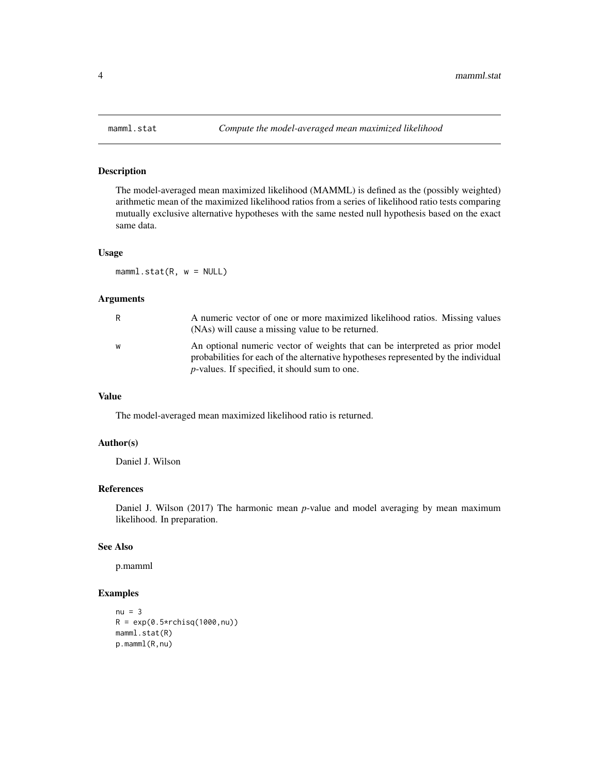<span id="page-3-0"></span>

#### Description

The model-averaged mean maximized likelihood (MAMML) is defined as the (possibly weighted) arithmetic mean of the maximized likelihood ratios from a series of likelihood ratio tests comparing mutually exclusive alternative hypotheses with the same nested null hypothesis based on the exact same data.

#### Usage

 $mamm1.start(R, w = NULL)$ 

#### Arguments

| R | A numeric vector of one or more maximized likelihood ratios. Missing values<br>(NAs) will cause a missing value to be returned.                                                                                        |
|---|------------------------------------------------------------------------------------------------------------------------------------------------------------------------------------------------------------------------|
| W | An optional numeric vector of weights that can be interpreted as prior model<br>probabilities for each of the alternative hypotheses represented by the individual<br>$p$ -values. If specified, it should sum to one. |

#### Value

The model-averaged mean maximized likelihood ratio is returned.

#### Author(s)

Daniel J. Wilson

#### References

Daniel J. Wilson (2017) The harmonic mean *p*-value and model averaging by mean maximum likelihood. In preparation.

#### See Also

p.mamml

```
nu = 3R = exp(0.5*rchisq(1000, nu))mamml.stat(R)
p.mamml(R,nu)
```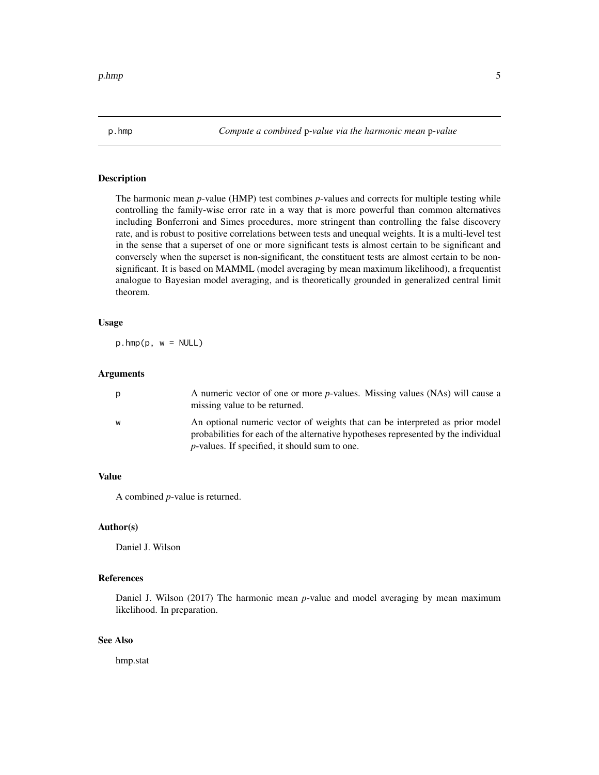<span id="page-4-0"></span>

#### Description

The harmonic mean *p*-value (HMP) test combines *p*-values and corrects for multiple testing while controlling the family-wise error rate in a way that is more powerful than common alternatives including Bonferroni and Simes procedures, more stringent than controlling the false discovery rate, and is robust to positive correlations between tests and unequal weights. It is a multi-level test in the sense that a superset of one or more significant tests is almost certain to be significant and conversely when the superset is non-significant, the constituent tests are almost certain to be nonsignificant. It is based on MAMML (model averaging by mean maximum likelihood), a frequentist analogue to Bayesian model averaging, and is theoretically grounded in generalized central limit theorem.

#### Usage

 $p.hmp(p, w = NULL)$ 

#### Arguments

| p | A numeric vector of one or more <i>p</i> -values. Missing values (NAs) will cause a<br>missing value to be returned.                                                                                                        |
|---|-----------------------------------------------------------------------------------------------------------------------------------------------------------------------------------------------------------------------------|
| W | An optional numeric vector of weights that can be interpreted as prior model<br>probabilities for each of the alternative hypotheses represented by the individual<br><i>p</i> -values. If specified, it should sum to one. |

#### Value

A combined *p*-value is returned.

#### Author(s)

Daniel J. Wilson

#### References

Daniel J. Wilson (2017) The harmonic mean *p*-value and model averaging by mean maximum likelihood. In preparation.

#### See Also

hmp.stat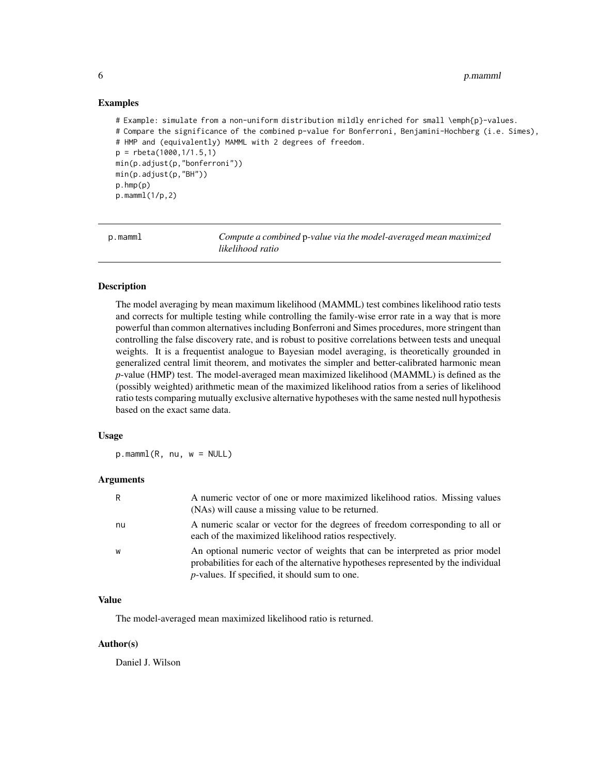#### 6 p.mamml

#### Examples

```
# Example: simulate from a non-uniform distribution mildly enriched for small \emph{p}-values.
# Compare the significance of the combined p-value for Bonferroni, Benjamini-Hochberg (i.e. Simes),
# HMP and (equivalently) MAMML with 2 degrees of freedom.
p = rbeta(1000,1/1.5,1)
min(p.adjust(p,"bonferroni"))
min(p.adjust(p,"BH"))
p.hmp(p)
p.mamml(1/p,2)
```
p.mamml *Compute a combined* p*-value via the model-averaged mean maximized likelihood ratio*

#### Description

The model averaging by mean maximum likelihood (MAMML) test combines likelihood ratio tests and corrects for multiple testing while controlling the family-wise error rate in a way that is more powerful than common alternatives including Bonferroni and Simes procedures, more stringent than controlling the false discovery rate, and is robust to positive correlations between tests and unequal weights. It is a frequentist analogue to Bayesian model averaging, is theoretically grounded in generalized central limit theorem, and motivates the simpler and better-calibrated harmonic mean *p*-value (HMP) test. The model-averaged mean maximized likelihood (MAMML) is defined as the (possibly weighted) arithmetic mean of the maximized likelihood ratios from a series of likelihood ratio tests comparing mutually exclusive alternative hypotheses with the same nested null hypothesis based on the exact same data.

#### Usage

 $p.mamm1(R, nu, w = NULL)$ 

#### Arguments

| R  | A numeric vector of one or more maximized likelihood ratios. Missing values<br>(NAs) will cause a missing value to be returned.                                                                                        |
|----|------------------------------------------------------------------------------------------------------------------------------------------------------------------------------------------------------------------------|
| nu | A numeric scalar or vector for the degrees of freedom corresponding to all or<br>each of the maximized likelihood ratios respectively.                                                                                 |
| W  | An optional numeric vector of weights that can be interpreted as prior model<br>probabilities for each of the alternative hypotheses represented by the individual<br>$p$ -values. If specified, it should sum to one. |

#### Value

The model-averaged mean maximized likelihood ratio is returned.

#### Author(s)

Daniel J. Wilson

<span id="page-5-0"></span>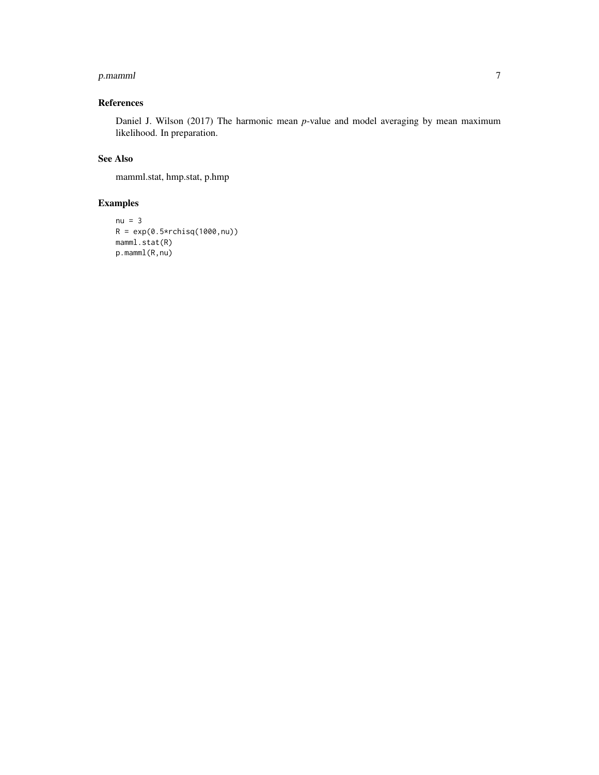#### p.mamml 7

#### References

Daniel J. Wilson (2017) The harmonic mean *p*-value and model averaging by mean maximum likelihood. In preparation.

#### See Also

mamml.stat, hmp.stat, p.hmp

```
nu = 3R = exp(0.5*rchisq(1000, nu))mamml.stat(R)
p.mamml(R,nu)
```